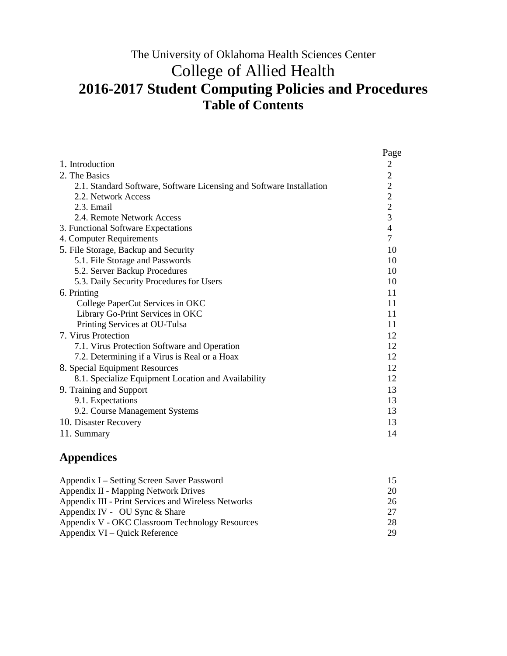### The University of Oklahoma Health Sciences Center College of Allied Health **2016-2017 Student Computing Policies and Procedures Table of Contents**

|                                                                      | Page           |
|----------------------------------------------------------------------|----------------|
| 1. Introduction                                                      | 2              |
| 2. The Basics                                                        | $\overline{2}$ |
| 2.1. Standard Software, Software Licensing and Software Installation | $\overline{2}$ |
| 2.2. Network Access                                                  | $\overline{c}$ |
| 2.3. Email                                                           | $\overline{2}$ |
| 2.4. Remote Network Access                                           | $\overline{3}$ |
| 3. Functional Software Expectations                                  | $\overline{4}$ |
| 4. Computer Requirements                                             | $\overline{7}$ |
| 5. File Storage, Backup and Security                                 | 10             |
| 5.1. File Storage and Passwords                                      | 10             |
| 5.2. Server Backup Procedures                                        | 10             |
| 5.3. Daily Security Procedures for Users                             | 10             |
| 6. Printing                                                          | 11             |
| College PaperCut Services in OKC                                     | 11             |
| Library Go-Print Services in OKC                                     | 11             |
| Printing Services at OU-Tulsa                                        | 11             |
| 7. Virus Protection                                                  | 12             |
| 7.1. Virus Protection Software and Operation                         | 12             |
| 7.2. Determining if a Virus is Real or a Hoax                        | 12             |
| 8. Special Equipment Resources                                       | 12             |
| 8.1. Specialize Equipment Location and Availability                  | 12             |
| 9. Training and Support                                              | 13             |
| 9.1. Expectations                                                    | 13             |
| 9.2. Course Management Systems                                       | 13             |
| 10. Disaster Recovery                                                | 13             |
| 11. Summary                                                          | 14             |

#### **Appendices**

| Appendix I – Setting Screen Saver Password          | 15 |
|-----------------------------------------------------|----|
| Appendix II - Mapping Network Drives                | 20 |
| Appendix III - Print Services and Wireless Networks | 26 |
| Appendix IV - OU Sync & Share                       | 27 |
| Appendix V - OKC Classroom Technology Resources     | 28 |
| Appendix VI – Quick Reference                       | 29 |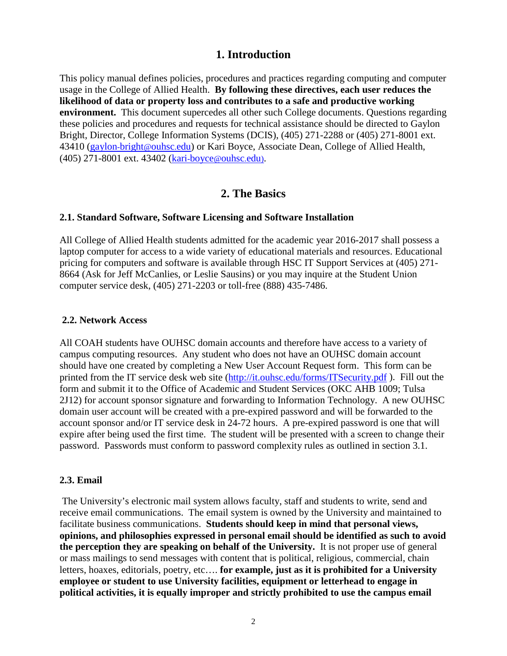#### **1. Introduction**

This policy manual defines policies, procedures and practices regarding computing and computer usage in the College of Allied Health. **By following these directives, each user reduces the likelihood of data or property loss and contributes to a safe and productive working environment.** This document supercedes all other such College documents. Questions regarding these policies and procedures and requests for technical assistance should be directed to Gaylon Bright, Director, College Information Systems (DCIS), (405) 271-2288 or (405) 271-8001 ext. 43410 [\(gaylon-bright@ouhsc.edu\)](mailto:gaylon-bright@ouhsc.edu) or Kari Boyce, Associate Dean, College of Allied Health, (405) 271-8001 ext. 43402 [\(kari-boyce@ouhsc.edu\).](mailto:kari-boyce@ouhsc.edu))

#### **2. The Basics**

#### **2.1. Standard Software, Software Licensing and Software Installation**

All College of Allied Health students admitted for the academic year 2016-2017 shall possess a laptop computer for access to a wide variety of educational materials and resources. Educational pricing for computers and software is available through HSC IT Support Services at (405) 271- 8664 (Ask for Jeff McCanlies, or Leslie Sausins) or you may inquire at the Student Union computer service desk, (405) 271-2203 or toll-free (888) 435-7486.

#### **2.2. Network Access**

All COAH students have OUHSC domain accounts and therefore have access to a variety of campus computing resources. Any student who does not have an OUHSC domain account should have one created by completing a New User Account Request form. This form can be printed from the IT service desk web site [\(http://it.ouhsc.edu/forms/ITSecurity.pdf](http://it.ouhsc.edu/forms/ITSecurity.pdf) ). Fill out the form and submit it to the Office of Academic and Student Services (OKC AHB 1009; Tulsa 2J12) for account sponsor signature and forwarding to Information Technology. A new OUHSC domain user account will be created with a pre-expired password and will be forwarded to the account sponsor and/or IT service desk in 24-72 hours. A pre-expired password is one that will expire after being used the first time. The student will be presented with a screen to change their password. Passwords must conform to password complexity rules as outlined in section 3.1.

#### **2.3. Email**

The University's electronic mail system allows faculty, staff and students to write, send and receive email communications. The email system is owned by the University and maintained to facilitate business communications. **Students should keep in mind that personal views, opinions, and philosophies expressed in personal email should be identified as such to avoid the perception they are speaking on behalf of the University.** It is not proper use of general or mass mailings to send messages with content that is political, religious, commercial, chain letters, hoaxes, editorials, poetry, etc…. **for example, just as it is prohibited for a University employee or student to use University facilities, equipment or letterhead to engage in political activities, it is equally improper and strictly prohibited to use the campus email**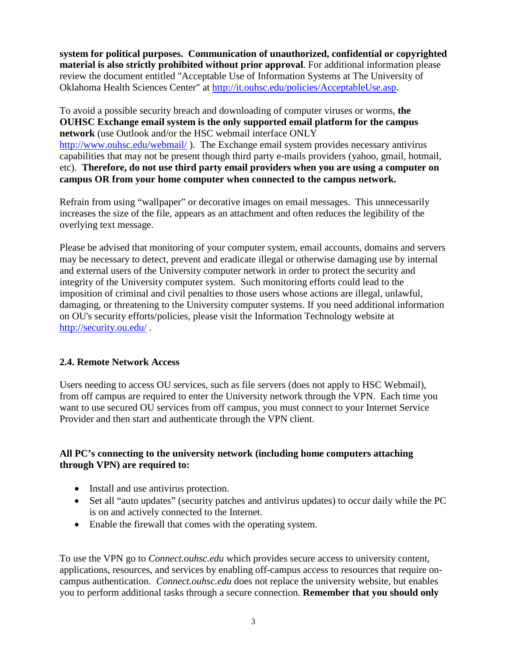**system for political purposes. Communication of unauthorized, confidential or copyrighted material is also strictly prohibited without prior approval**. For additional information please review the document entitled "Acceptable Use of Information Systems at The University of Oklahoma Health Sciences Center" at [http://it.ouhsc.edu/policies/AcceptableUse.asp.](http://it.ouhsc.edu/policies/AcceptableUse.asp)

To avoid a possible security breach and downloading of computer viruses or worms, **the OUHSC Exchange email system is the only supported email platform for the campus network** (use Outlook and/or the HSC webmail interface ONLY <http://www.ouhsc.edu/webmail/>). The Exchange email system provides necessary antivirus capabilities that may not be present though third party e-mails providers (yahoo, gmail, hotmail, etc). **Therefore, do not use third party email providers when you are using a computer on campus OR from your home computer when connected to the campus network.** 

Refrain from using "wallpaper" or decorative images on email messages. This unnecessarily increases the size of the file, appears as an attachment and often reduces the legibility of the overlying text message.

Please be advised that monitoring of your computer system, email accounts, domains and servers may be necessary to detect, prevent and eradicate illegal or otherwise damaging use by internal and external users of the University computer network in order to protect the security and integrity of the University computer system. Such monitoring efforts could lead to the imposition of criminal and civil penalties to those users whose actions are illegal, unlawful, damaging, or threatening to the University computer systems. If you need additional information on OU's security efforts/policies, please visit the Information Technology website at <http://security.ou.edu/> .

#### **2.4. Remote Network Access**

Users needing to access OU services, such as file servers (does not apply to HSC Webmail), from off campus are required to enter the University network through the VPN. Each time you want to use secured OU services from off campus, you must connect to your Internet Service Provider and then start and authenticate through the VPN client.

#### **All PC's connecting to the university network (including home computers attaching through VPN) are required to:**

- Install and use antivirus protection.
- Set all "auto updates" (security patches and antivirus updates) to occur daily while the PC is on and actively connected to the Internet.
- Enable the firewall that comes with the operating system.

To use the VPN go to *Connect.ouhsc.edu* which provides secure access to university content, applications, resources, and services by enabling off-campus access to resources that require oncampus authentication. *Connect.ouhsc.edu* does not replace the university website, but enables you to perform additional tasks through a secure connection. **Remember that you should only**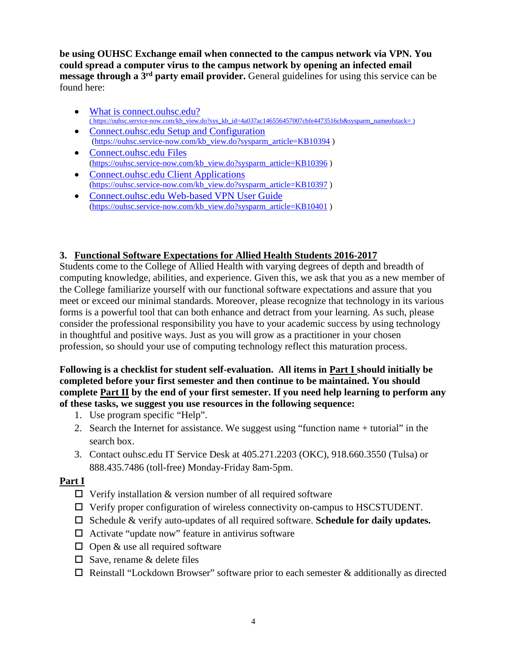**be using OUHSC Exchange email when connected to the campus network via VPN. You could spread a computer virus to the campus network by opening an infected email message through a 3rd party email provider.** General guidelines for using this service can be found here:

- [What is connect.ouhsc.edu?](https://ouhsc.service-now.com/kb_view.do?sys_kb_id=4a037ac146556457007cbfe4473516cb&sysparm_nameofstack=) ( [https://ouhsc.service-now.com/kb\\_view.do?sys\\_kb\\_id=4a037ac146556457007cbfe4473516cb&sysparm\\_nameofstack=](https://ouhsc.service-now.com/kb_view.do?sys_kb_id=4a037ac146556457007cbfe4473516cb&sysparm_nameofstack) )
- [Connect.ouhsc.edu Setup and Configuration](https://ouhsc.service-now.com/kb_view.do?sysparm_article=KB10394) [\(https://ouhsc.service-now.com/kb\\_view.do?sysparm\\_article=KB10394](https://ouhsc.service-now.com/kb_view.do?sysparm_article=KB10394) )
- [Connect.ouhsc.edu Files](https://ouhsc.service-now.com/kb_view.do?sysparm_article=KB10396) [\(https://ouhsc.service-now.com/kb\\_view.do?sysparm\\_article=KB10396](https://ouhsc.service-now.com/kb_view.do?sysparm_article=KB10396) )
- [Connect.ouhsc.edu Client Applications](https://ouhsc.service-now.com/kb_view.do?sysparm_article=KB10397) [\(https://ouhsc.service-now.com/kb\\_view.do?sysparm\\_article=KB10397](https://ouhsc.service-now.com/kb_view.do?sysparm_article=KB10397) )
- [Connect.ouhsc.edu Web-based VPN User Guide](https://ouhsc.service-now.com/kb_view.do?sysparm_article=KB10401) [\(https://ouhsc.service-now.com/kb\\_view.do?sysparm\\_article=KB10401](https://ouhsc.service-now.com/kb_view.do?sysparm_article=KB10401) )

#### **3. Functional Software Expectations for Allied Health Students 2016-2017**

Students come to the College of Allied Health with varying degrees of depth and breadth of computing knowledge, abilities, and experience. Given this, we ask that you as a new member of the College familiarize yourself with our functional software expectations and assure that you meet or exceed our minimal standards. Moreover, please recognize that technology in its various forms is a powerful tool that can both enhance and detract from your learning. As such, please consider the professional responsibility you have to your academic success by using technology in thoughtful and positive ways. Just as you will grow as a practitioner in your chosen profession, so should your use of computing technology reflect this maturation process.

**Following is a checklist for student self-evaluation. All items in Part I should initially be completed before your first semester and then continue to be maintained. You should complete Part II by the end of your first semester. If you need help learning to perform any of these tasks, we suggest you use resources in the following sequence:**

- 1. Use program specific "Help".
- 2. Search the Internet for assistance. We suggest using "function name + tutorial" in the search box.
- 3. Contact ouhsc.edu IT Service Desk at 405.271.2203 (OKC), 918.660.3550 (Tulsa) or 888.435.7486 (toll-free) Monday-Friday 8am-5pm.

#### **Part I**

- $\Box$  Verify installation & version number of all required software
- Verify proper configuration of wireless connectivity on-campus to HSCSTUDENT.
- □ Schedule & verify auto-updates of all required software. **Schedule for daily updates.**
- $\Box$  Activate "update now" feature in antivirus software
- $\Box$  Open & use all required software
- $\square$  Save, rename & delete files
- $\Box$  Reinstall "Lockdown Browser" software prior to each semester  $\&$  additionally as directed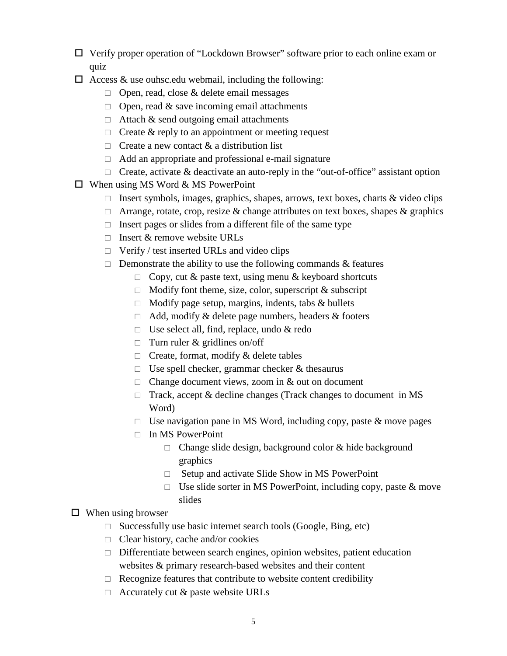- Verify proper operation of "Lockdown Browser" software prior to each online exam or quiz
- $\Box$  Access & use ouhsc.edu webmail, including the following:
	- $\Box$  Open, read, close & delete email messages
	- $\Box$  Open, read & save incoming email attachments
	- $\Box$  Attach & send outgoing email attachments
	- $\Box$  Create & reply to an appointment or meeting request
	- $\Box$  Create a new contact & a distribution list
	- $\Box$  Add an appropriate and professional e-mail signature
	- $\Box$  Create, activate & deactivate an auto-reply in the "out-of-office" assistant option
- $\Box$  When using MS Word & MS PowerPoint
	- Insert symbols, images, graphics, shapes, arrows, text boxes, charts  $\&$  video clips
	- $\Box$  Arrange, rotate, crop, resize & change attributes on text boxes, shapes & graphics
	- $\Box$  Insert pages or slides from a different file of the same type
	- $\Box$  Insert & remove website URLs
	- $\Box$  Verify / test inserted URLs and video clips
	- $\Box$  Demonstrate the ability to use the following commands & features
		- $\Box$  Copy, cut & paste text, using menu & keyboard shortcuts
		- $\Box$  Modify font theme, size, color, superscript & subscript
		- $\Box$  Modify page setup, margins, indents, tabs & bullets
		- $\Box$  Add, modify & delete page numbers, headers & footers
		- $\Box$  Use select all, find, replace, undo & redo
		- $\Box$  Turn ruler & gridlines on/off
		- $\Box$  Create, format, modify & delete tables
		- $\Box$  Use spell checker, grammar checker & thesaurus
		- $\Box$  Change document views, zoom in & out on document
		- $\Box$  Track, accept & decline changes (Track changes to document in MS Word)
		- $\Box$  Use navigation pane in MS Word, including copy, paste & move pages
		- $\Box$  In MS PowerPoint
			- $\Box$  Change slide design, background color & hide background graphics
			- $\Box$  Setup and activate Slide Show in MS PowerPoint
			- $\Box$  Use slide sorter in MS PowerPoint, including copy, paste & move slides

#### $\Box$  When using browser

- $\Box$  Successfully use basic internet search tools (Google, Bing, etc)
- $\Box$  Clear history, cache and/or cookies
- $\Box$  Differentiate between search engines, opinion websites, patient education websites & primary research-based websites and their content
- $\Box$  Recognize features that contribute to website content credibility
- $\Box$  Accurately cut & paste website URLs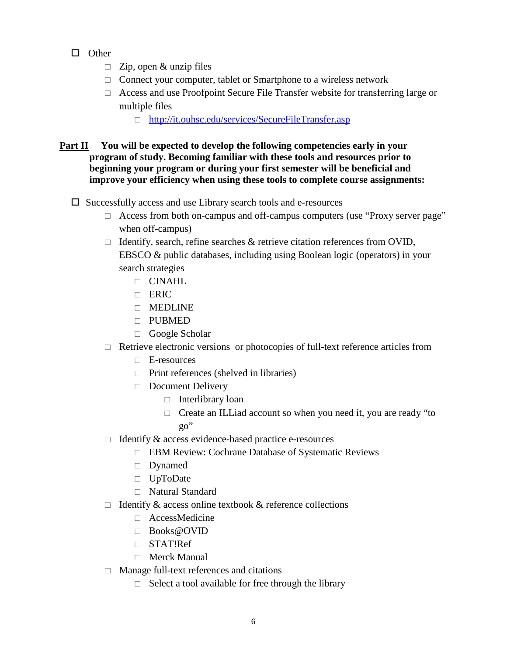- $\Box$  Other
	- $\Box$  Zip, open & unzip files
	- $\Box$  Connect your computer, tablet or Smartphone to a wireless network
	- $\Box$  Access and use Proofpoint Secure File Transfer website for transferring large or multiple files
		- <http://it.ouhsc.edu/services/SecureFileTransfer.asp>

#### **Part II You will be expected to develop the following competencies early in your program of study. Becoming familiar with these tools and resources prior to beginning your program or during your first semester will be beneficial and improve your efficiency when using these tools to complete course assignments:**

- $\Box$  Successfully access and use Library search tools and e-resources
	- $\Box$  Access from both on-campus and off-campus computers (use "Proxy server page" when off-campus)
	- $\Box$  Identify, search, refine searches & retrieve citation references from OVID, EBSCO & public databases, including using Boolean logic (operators) in your search strategies
		- CINAHL
		- ERIC
		- **NEDLINE**
		- PUBMED
		- Google Scholar
	- $\Box$  Retrieve electronic versions or photocopies of full-text reference articles from
		- E-resources
		- $\Box$  Print references (shelved in libraries)
		- $\Box$  Document Delivery
			- $\Box$  Interlibrary loan
			- $\Box$  Create an ILLiad account so when you need it, you are ready "to go"
	- $\Box$  Identify & access evidence-based practice e-resources
		- □ EBM Review: Cochrane Database of Systematic Reviews
		- Dynamed
		- UpToDate
		- Natural Standard
	- $\Box$  Identify & access online textbook & reference collections
		- AccessMedicine
		- Books@OVID
		- STAT!Ref
		- □ Merck Manual
	- $\Box$  Manage full-text references and citations
		- $\Box$  Select a tool available for free through the library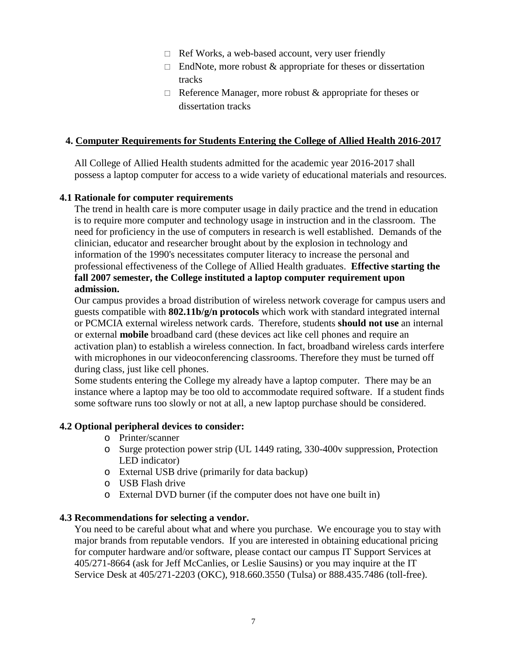- $\Box$  Ref Works, a web-based account, very user friendly
- $\Box$  EndNote, more robust & appropriate for theses or dissertation tracks
- $\Box$  Reference Manager, more robust & appropriate for theses or dissertation tracks

#### **4. Computer Requirements for Students Entering the College of Allied Health 2016-2017**

All College of Allied Health students admitted for the academic year 2016-2017 shall possess a laptop computer for access to a wide variety of educational materials and resources.

#### **4.1 Rationale for computer requirements**

The trend in health care is more computer usage in daily practice and the trend in education is to require more computer and technology usage in instruction and in the classroom. The need for proficiency in the use of computers in research is well established. Demands of the clinician, educator and researcher brought about by the explosion in technology and information of the 1990's necessitates computer literacy to increase the personal and professional effectiveness of the College of Allied Health graduates. **Effective starting the fall 2007 semester, the College instituted a laptop computer requirement upon admission.**

Our campus provides a broad distribution of wireless network coverage for campus users and guests compatible with **802.11b/g/n protocols** which work with standard integrated internal or PCMCIA external wireless network cards. Therefore, students **should not use** an internal or external **mobile** broadband card (these devices act like cell phones and require an activation plan) to establish a wireless connection. In fact, broadband wireless cards interfere with microphones in our videoconferencing classrooms. Therefore they must be turned off during class, just like cell phones.

Some students entering the College my already have a laptop computer. There may be an instance where a laptop may be too old to accommodate required software. If a student finds some software runs too slowly or not at all, a new laptop purchase should be considered.

#### **4.2 Optional peripheral devices to consider:**

- o Printer/scanner
- o Surge protection power strip (UL 1449 rating, 330-400v suppression, Protection LED indicator)
- o External USB drive (primarily for data backup)
- o USB Flash drive
- o External DVD burner (if the computer does not have one built in)

#### **4.3 Recommendations for selecting a vendor.**

You need to be careful about what and where you purchase. We encourage you to stay with major brands from reputable vendors. If you are interested in obtaining educational pricing for computer hardware and/or software, please contact our campus IT Support Services at 405/271-8664 (ask for Jeff McCanlies, or Leslie Sausins) or you may inquire at the IT Service Desk at 405/271-2203 (OKC), 918.660.3550 (Tulsa) or 888.435.7486 (toll-free).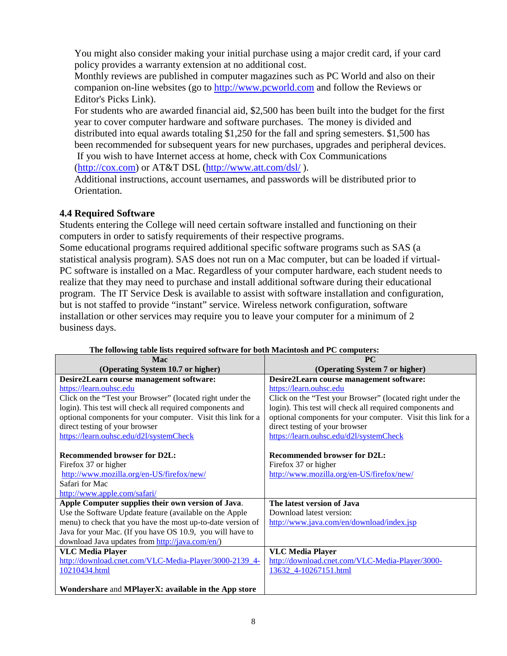You might also consider making your initial purchase using a major credit card, if your card policy provides a warranty extension at no additional cost.

Monthly reviews are published in computer magazines such as PC World and also on their companion on-line websites (go to [http://www.pcworld.com](http://www.pcworld.com/) and follow the Reviews or Editor's Picks Link).

For students who are awarded financial aid, \$2,500 has been built into the budget for the first year to cover computer hardware and software purchases. The money is divided and distributed into equal awards totaling \$1,250 for the fall and spring semesters. \$1,500 has been recommended for subsequent years for new purchases, upgrades and peripheral devices. If you wish to have Internet access at home, check with Cox Communications

[\(http://cox.com\)](http://cox.com/) or AT&T DSL [\(http://www.att.com/dsl/](http://www.att.com/dsl/) ).

Additional instructions, account usernames, and passwords will be distributed prior to Orientation.

#### **4.4 Required Software**

Students entering the College will need certain software installed and functioning on their computers in order to satisfy requirements of their respective programs.

Some educational programs required additional specific software programs such as SAS (a statistical analysis program). SAS does not run on a Mac computer, but can be loaded if virtual-PC software is installed on a Mac. Regardless of your computer hardware, each student needs to realize that they may need to purchase and install additional software during their educational program. The IT Service Desk is available to assist with software installation and configuration, but is not staffed to provide "instant" service. Wireless network configuration, software installation or other services may require you to leave your computer for a minimum of 2 business days.

| Mac                                                          | PC                                                           |
|--------------------------------------------------------------|--------------------------------------------------------------|
| (Operating System 10.7 or higher)                            | (Operating System 7 or higher)                               |
| Desire2Learn course management software:                     | Desire2Learn course management software:                     |
| https://learn.ouhsc.edu                                      | https://learn.ouhsc.edu                                      |
| Click on the "Test your Browser" (located right under the    | Click on the "Test your Browser" (located right under the    |
| login). This test will check all required components and     | login). This test will check all required components and     |
| optional components for your computer. Visit this link for a | optional components for your computer. Visit this link for a |
| direct testing of your browser                               | direct testing of your browser                               |
| https://learn.ouhsc.edu/d2l/systemCheck                      | https://learn.ouhsc.edu/d2l/systemCheck                      |
|                                                              |                                                              |
| <b>Recommended browser for D2L:</b>                          | <b>Recommended browser for D2L:</b>                          |
| Firefox 37 or higher                                         | Firefox 37 or higher                                         |
| http://www.mozilla.org/en-US/firefox/new/                    | http://www.mozilla.org/en-US/firefox/new/                    |
| Safari for Mac                                               |                                                              |
| http://www.apple.com/safari/                                 |                                                              |
| Apple Computer supplies their own version of Java.           | The latest version of Java                                   |
| Use the Software Update feature (available on the Apple      | Download latest version:                                     |
| menu) to check that you have the most up-to-date version of  | http://www.java.com/en/download/index.jsp                    |
| Java for your Mac. (If you have OS 10.9, you will have to    |                                                              |
| download Java updates from http://java.com/en/)              |                                                              |
| <b>VLC Media Player</b>                                      | <b>VLC Media Player</b>                                      |
| http://download.cnet.com/VLC-Media-Player/3000-2139_4-       | http://download.cnet.com/VLC-Media-Player/3000-              |
| 10210434.html                                                | 13632 4-10267151.html                                        |
|                                                              |                                                              |
| Wondershare and MPlayerX: available in the App store         |                                                              |

| The following table lists required software for both Macintosh and PC computers: |  |  |
|----------------------------------------------------------------------------------|--|--|
|                                                                                  |  |  |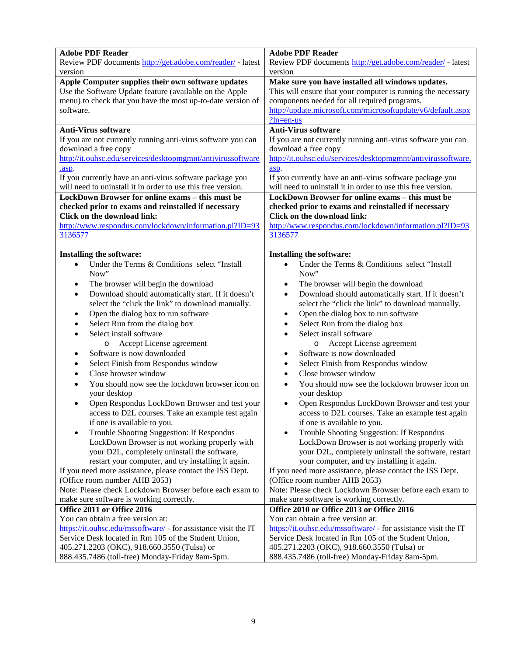| <b>Adobe PDF Reader</b>                                         | <b>Adobe PDF Reader</b>                                         |  |
|-----------------------------------------------------------------|-----------------------------------------------------------------|--|
| Review PDF documents http://get.adobe.com/reader/ - latest      | Review PDF documents http://get.adobe.com/reader/ - latest      |  |
| version                                                         | version                                                         |  |
| Apple Computer supplies their own software updates              | Make sure you have installed all windows updates.               |  |
| Use the Software Update feature (available on the Apple         | This will ensure that your computer is running the necessary    |  |
| menu) to check that you have the most up-to-date version of     | components needed for all required programs.                    |  |
| software.                                                       | http://update.microsoft.com/microsoftupdate/v6/default.aspx     |  |
|                                                                 | $2ln=en-us$                                                     |  |
| <b>Anti-Virus software</b>                                      |                                                                 |  |
|                                                                 | <b>Anti-Virus software</b>                                      |  |
| If you are not currently running anti-virus software you can    | If you are not currently running anti-virus software you can    |  |
| download a free copy                                            | download a free copy                                            |  |
| http://it.ouhsc.edu/services/desktopmgmnt/antivirussoftware     | http://it.ouhsc.edu/services/desktopmgmnt/antivirussoftware.    |  |
| .asp.                                                           | asp.                                                            |  |
| If you currently have an anti-virus software package you        | If you currently have an anti-virus software package you        |  |
| will need to uninstall it in order to use this free version.    | will need to uninstall it in order to use this free version.    |  |
| LockDown Browser for online exams - this must be                | LockDown Browser for online exams - this must be                |  |
| checked prior to exams and reinstalled if necessary             | checked prior to exams and reinstalled if necessary             |  |
| Click on the download link:                                     | Click on the download link:                                     |  |
|                                                                 |                                                                 |  |
| http://www.respondus.com/lockdown/information.pl?ID=93          | http://www.respondus.com/lockdown/information.pl?ID=93          |  |
| 3136577                                                         | 3136577                                                         |  |
|                                                                 |                                                                 |  |
| Installing the software:                                        | Installing the software:                                        |  |
| Under the Terms & Conditions select "Install"<br>$\bullet$      | Under the Terms & Conditions select "Install                    |  |
| Now"                                                            | Now"                                                            |  |
| The browser will begin the download<br>$\bullet$                | The browser will begin the download<br>٠                        |  |
| Download should automatically start. If it doesn't<br>$\bullet$ | Download should automatically start. If it doesn't<br>$\bullet$ |  |
| select the "click the link" to download manually.               | select the "click the link" to download manually.               |  |
|                                                                 |                                                                 |  |
| Open the dialog box to run software<br>٠                        | Open the dialog box to run software<br>٠                        |  |
| Select Run from the dialog box<br>٠                             | Select Run from the dialog box<br>$\bullet$                     |  |
| Select install software                                         | Select install software<br>$\bullet$                            |  |
| Accept License agreement<br>$\circ$                             | Accept License agreement<br>$\circ$                             |  |
| Software is now downloaded<br>٠                                 | Software is now downloaded<br>٠                                 |  |
| Select Finish from Respondus window<br>٠                        | Select Finish from Respondus window<br>٠                        |  |
| Close browser window<br>$\bullet$                               | Close browser window<br>$\bullet$                               |  |
|                                                                 |                                                                 |  |
| You should now see the lockdown browser icon on                 | You should now see the lockdown browser icon on                 |  |
| your desktop                                                    | your desktop                                                    |  |
| Open Respondus LockDown Browser and test your                   | Open Respondus LockDown Browser and test your                   |  |
| access to D2L courses. Take an example test again               | access to D2L courses. Take an example test again               |  |
| if one is available to you.                                     | if one is available to you.                                     |  |
| Trouble Shooting Suggestion: If Respondus                       | Trouble Shooting Suggestion: If Respondus                       |  |
| LockDown Browser is not working properly with                   | LockDown Browser is not working properly with                   |  |
| your D2L, completely uninstall the software,                    | your D2L, completely uninstall the software, restart            |  |
| restart your computer, and try installing it again.             | your computer, and try installing it again.                     |  |
| If you need more assistance, please contact the ISS Dept.       | If you need more assistance, please contact the ISS Dept.       |  |
|                                                                 |                                                                 |  |
| (Office room number AHB 2053)                                   | (Office room number AHB 2053)                                   |  |
| Note: Please check Lockdown Browser before each exam to         | Note: Please check Lockdown Browser before each exam to         |  |
| make sure software is working correctly.                        | make sure software is working correctly.                        |  |
| Office 2011 or Office 2016                                      | Office 2010 or Office 2013 or Office 2016                       |  |
| You can obtain a free version at:                               | You can obtain a free version at:                               |  |
| https://it.ouhsc.edu/mssoftware/ - for assistance visit the IT  | https://it.ouhsc.edu/mssoftware/ - for assistance visit the IT  |  |
| Service Desk located in Rm 105 of the Student Union,            | Service Desk located in Rm 105 of the Student Union,            |  |
| 405.271.2203 (OKC), 918.660.3550 (Tulsa) or                     | 405.271.2203 (OKC), 918.660.3550 (Tulsa) or                     |  |
| 888.435.7486 (toll-free) Monday-Friday 8am-5pm.                 | 888.435.7486 (toll-free) Monday-Friday 8am-5pm.                 |  |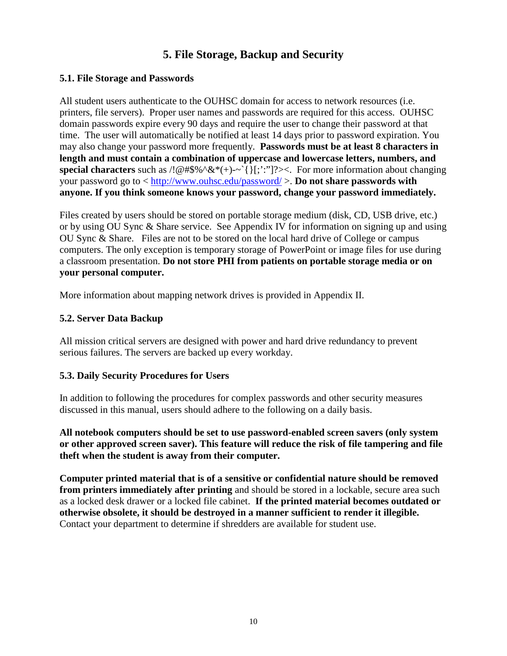#### **5. File Storage, Backup and Security**

#### **5.1. File Storage and Passwords**

All student users authenticate to the OUHSC domain for access to network resources (i.e. printers, file servers). Proper user names and passwords are required for this access. OUHSC domain passwords expire every 90 days and require the user to change their password at that time. The user will automatically be notified at least 14 days prior to password expiration. You may also change your password more frequently. **Passwords must be at least 8 characters in length and must contain a combination of uppercase and lowercase letters, numbers, and special characters** such as  $/1@#\$%^{\infty}(*)$  -  $\{[\cdot, \cdot]'\}$ ? [ $\le$  For more information about changing your password go to <<http://www.ouhsc.edu/password/> >. **Do not share passwords with anyone. If you think someone knows your password, change your password immediately.**

Files created by users should be stored on portable storage medium (disk, CD, USB drive, etc.) or by using OU Sync & Share service. See Appendix IV for information on signing up and using OU Sync & Share. Files are not to be stored on the local hard drive of College or campus computers. The only exception is temporary storage of PowerPoint or image files for use during a classroom presentation. **Do not store PHI from patients on portable storage media or on your personal computer.**

More information about mapping network drives is provided in Appendix II.

#### **5.2. Server Data Backup**

All mission critical servers are designed with power and hard drive redundancy to prevent serious failures. The servers are backed up every workday.

#### **5.3. Daily Security Procedures for Users**

In addition to following the procedures for complex passwords and other security measures discussed in this manual, users should adhere to the following on a daily basis.

**All notebook computers should be set to use password-enabled screen savers (only system or other approved screen saver). This feature will reduce the risk of file tampering and file theft when the student is away from their computer.**

**Computer printed material that is of a sensitive or confidential nature should be removed from printers immediately after printing** and should be stored in a lockable, secure area such as a locked desk drawer or a locked file cabinet. **If the printed material becomes outdated or otherwise obsolete, it should be destroyed in a manner sufficient to render it illegible.** Contact your department to determine if shredders are available for student use.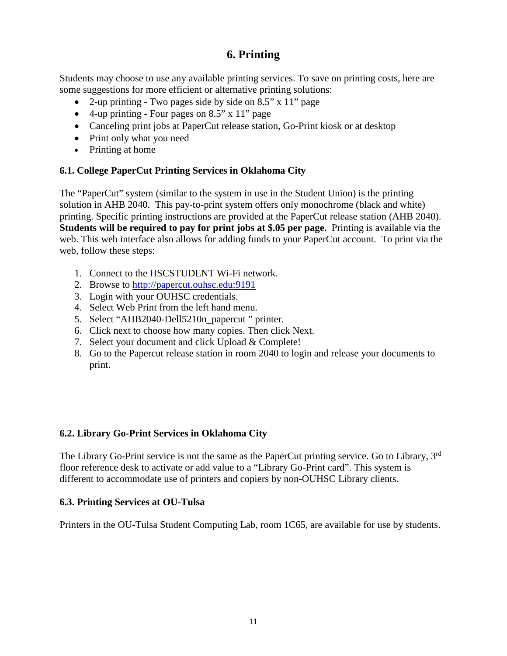#### **6. Printing**

Students may choose to use any available printing services. To save on printing costs, here are some suggestions for more efficient or alternative printing solutions:

- 2-up printing Two pages side by side on 8.5" x 11" page
- 4-up printing Four pages on 8.5" x 11" page
- Canceling print jobs at PaperCut release station, Go-Print kiosk or at desktop
- Print only what you need
- Printing at home

#### **6.1. College PaperCut Printing Services in Oklahoma City**

The "PaperCut" system (similar to the system in use in the Student Union) is the printing solution in AHB 2040. This pay-to-print system offers only monochrome (black and white) printing. Specific printing instructions are provided at the PaperCut release station (AHB 2040). **Students will be required to pay for print jobs at \$.05 per page.** Printing is available via the web. This web interface also allows for adding funds to your PaperCut account. To print via the web, follow these steps:

- 1. Connect to the HSCSTUDENT Wi-Fi network.
- 2. Browse to [http://papercut.ouhsc.edu:9191](http://papercut.ouhsc.edu:9191/)
- 3. Login with your OUHSC credentials.
- 4. Select Web Print from the left hand menu.
- 5. Select "AHB2040-Dell5210n\_papercut " printer.
- 6. Click next to choose how many copies. Then click Next.
- 7. Select your document and click Upload & Complete!
- 8. Go to the Papercut release station in room 2040 to login and release your documents to print.

#### **6.2. Library Go-Print Services in Oklahoma City**

The Library Go-Print service is not the same as the PaperCut printing service. Go to Library, 3<sup>rd</sup> floor reference desk to activate or add value to a "Library Go-Print card". This system is different to accommodate use of printers and copiers by non-OUHSC Library clients.

#### **6.3. Printing Services at OU-Tulsa**

Printers in the OU-Tulsa Student Computing Lab, room 1C65, are available for use by students.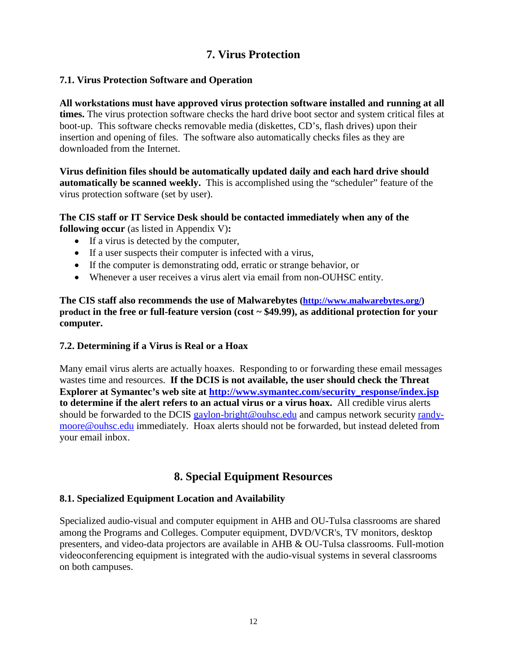#### **7. Virus Protection**

#### **7.1. Virus Protection Software and Operation**

**All workstations must have approved virus protection software installed and running at all times.** The virus protection software checks the hard drive boot sector and system critical files at boot-up. This software checks removable media (diskettes, CD's, flash drives) upon their insertion and opening of files. The software also automatically checks files as they are downloaded from the Internet.

**Virus definition files should be automatically updated daily and each hard drive should automatically be scanned weekly.** This is accomplished using the "scheduler" feature of the virus protection software (set by user).

**The CIS staff or IT Service Desk should be contacted immediately when any of the following occur** (as listed in Appendix V)**:**

- If a virus is detected by the computer,
- If a user suspects their computer is infected with a virus,
- If the computer is demonstrating odd, erratic or strange behavior, or
- Whenever a user receives a virus alert via email from non-OUHSC entity.

**The CIS staff also recommends the use of Malwarebytes [\(http://www.malwarebytes.org/\)](http://www.malwarebytes.org/) product in the free or full-feature version (cost ~ \$49.99), as additional protection for your computer.** 

#### **7.2. Determining if a Virus is Real or a Hoax**

Many email virus alerts are actually hoaxes. Responding to or forwarding these email messages wastes time and resources. **If the DCIS is not available, the user should check the Threat Explorer** at Symantec's web site at [http://www.symantec.com/security\\_response/index.jsp](http://www.symantec.com/security_response/index.jsp) **to determine if the alert refers to an actual virus or a virus hoax.** All credible virus alerts should be forwarded to the DCIS [gaylon-bright@ouhsc.edu](mailto:gaylon-bright@ouhsc.edu) and campus network security [randy](mailto:randy-moore@ouhsc.edu)[moore@ouhsc.edu](mailto:randy-moore@ouhsc.edu) immediately. Hoax alerts should not be forwarded, but instead deleted from your email inbox.

#### **8. Special Equipment Resources**

#### **8.1. Specialized Equipment Location and Availability**

Specialized audio-visual and computer equipment in AHB and OU-Tulsa classrooms are shared among the Programs and Colleges. Computer equipment, DVD/VCR's, TV monitors, desktop presenters, and video-data projectors are available in AHB & OU-Tulsa classrooms. Full-motion videoconferencing equipment is integrated with the audio-visual systems in several classrooms on both campuses.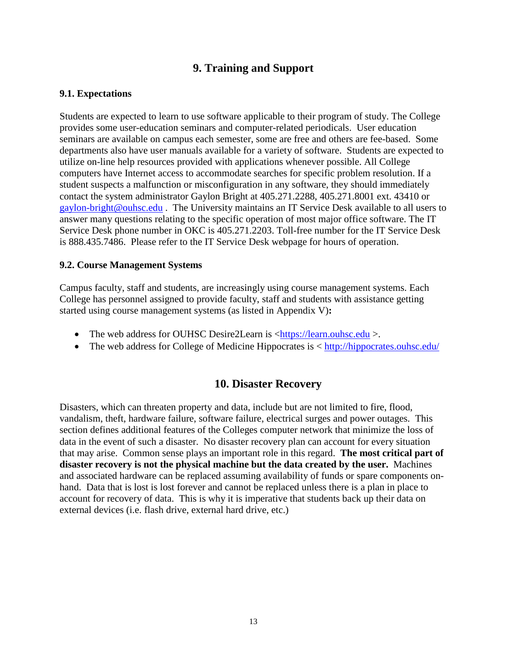#### **9. Training and Support**

#### **9.1. Expectations**

Students are expected to learn to use software applicable to their program of study. The College provides some user-education seminars and computer-related periodicals. User education seminars are available on campus each semester, some are free and others are fee-based. Some departments also have user manuals available for a variety of software. Students are expected to utilize on-line help resources provided with applications whenever possible. All College computers have Internet access to accommodate searches for specific problem resolution. If a student suspects a malfunction or misconfiguration in any software, they should immediately contact the system administrator Gaylon Bright at 405.271.2288, 405.271.8001 ext. 43410 or [gaylon-bright@ouhsc.edu](mailto:gaylon-bright@ouhsc.edu) . The University maintains an IT Service Desk available to all users to answer many questions relating to the specific operation of most major office software. The IT Service Desk phone number in OKC is 405.271.2203. Toll-free number for the IT Service Desk is 888.435.7486. Please refer to the IT Service Desk webpage for hours of operation.

#### **9.2. Course Management Systems**

Campus faculty, staff and students, are increasingly using course management systems. Each College has personnel assigned to provide faculty, staff and students with assistance getting started using course management systems (as listed in Appendix V)**:**

- The web address for OUHSC Desire2Learn is [<https://learn.ouhsc.edu](https://learn.ouhsc.edu/) >.
- The web address for College of Medicine Hippocrates is  $\langle \frac{http://hippocrates.ouhsc.edu/}{http://hippocrates.ouhsc.edu/}$  $\langle \frac{http://hippocrates.ouhsc.edu/}{http://hippocrates.ouhsc.edu/}$  $\langle \frac{http://hippocrates.ouhsc.edu/}{http://hippocrates.ouhsc.edu/}$

#### **10. Disaster Recovery**

Disasters, which can threaten property and data, include but are not limited to fire, flood, vandalism, theft, hardware failure, software failure, electrical surges and power outages. This section defines additional features of the Colleges computer network that minimize the loss of data in the event of such a disaster. No disaster recovery plan can account for every situation that may arise. Common sense plays an important role in this regard. **The most critical part of disaster recovery is not the physical machine but the data created by the user.** Machines and associated hardware can be replaced assuming availability of funds or spare components onhand. Data that is lost is lost forever and cannot be replaced unless there is a plan in place to account for recovery of data. This is why it is imperative that students back up their data on external devices (i.e. flash drive, external hard drive, etc.)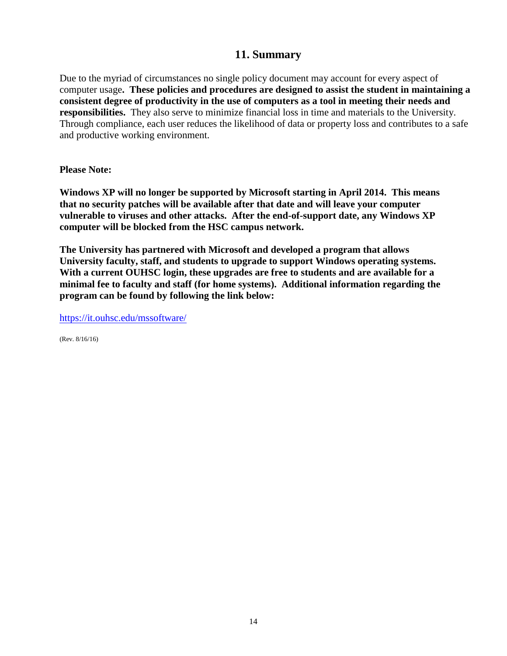#### **11. Summary**

Due to the myriad of circumstances no single policy document may account for every aspect of computer usage**. These policies and procedures are designed to assist the student in maintaining a consistent degree of productivity in the use of computers as a tool in meeting their needs and responsibilities.** They also serve to minimize financial loss in time and materials to the University. Through compliance, each user reduces the likelihood of data or property loss and contributes to a safe and productive working environment.

**Please Note:**

**Windows XP will no longer be supported by Microsoft starting in April 2014. This means that no security patches will be available after that date and will leave your computer vulnerable to viruses and other attacks. After the end-of-support date, any Windows XP computer will be blocked from the HSC campus network.**

**The University has partnered with Microsoft and developed a program that allows University faculty, staff, and students to upgrade to support Windows operating systems. With a current OUHSC login, these upgrades are free to students and are available for a minimal fee to faculty and staff (for home systems). Additional information regarding the program can be found by following the link below:**

<https://it.ouhsc.edu/mssoftware/>

(Rev. 8/16/16)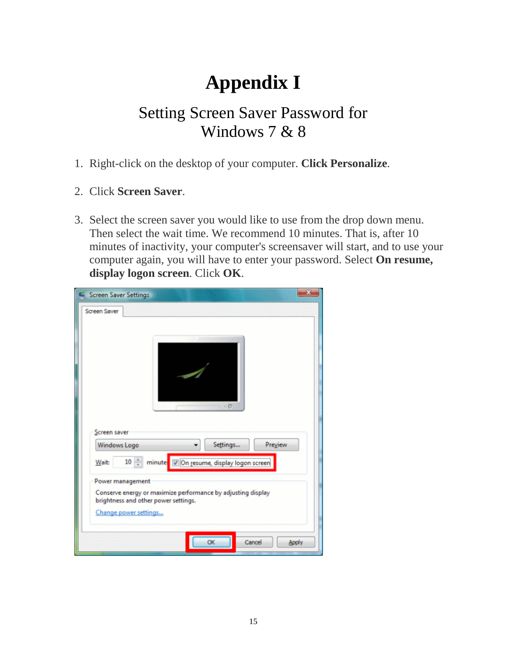# **Appendix I**

### Setting Screen Saver Password for Windows 7 & 8

- 1. Right-click on the desktop of your computer. **Click Personalize**.
- 2. Click **Screen Saver**.
- 3. Select the screen saver you would like to use from the drop down menu. Then select the wait time. We recommend 10 minutes. That is, after 10 minutes of inactivity, your computer's screensaver will start, and to use your computer again, you will have to enter your password. Select **On resume, display logon screen**. Click **OK**.

| Screen Saver Settings                                                                                |  |
|------------------------------------------------------------------------------------------------------|--|
| <b>Screen Saver</b>                                                                                  |  |
|                                                                                                      |  |
|                                                                                                      |  |
|                                                                                                      |  |
|                                                                                                      |  |
|                                                                                                      |  |
| - 6                                                                                                  |  |
|                                                                                                      |  |
| Screen saver                                                                                         |  |
| Settings<br>Preview<br>Windows Logo                                                                  |  |
| minutes V On resume, display logon screen<br>$10 \div$<br><b>Wait:</b>                               |  |
| Power management                                                                                     |  |
| Conserve energy or maximize performance by adjusting display<br>brightness and other power settings. |  |
| Change power settings                                                                                |  |
|                                                                                                      |  |
| Cancel<br>OK<br>Apply                                                                                |  |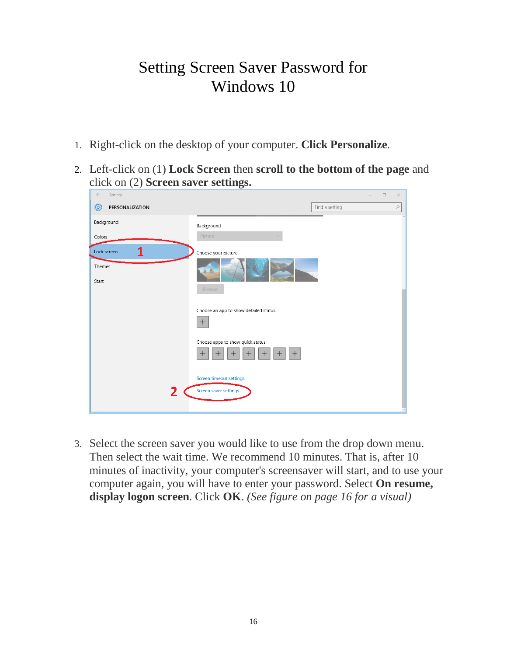### Setting Screen Saver Password for Windows 10

- 1. Right-click on the desktop of your computer. **Click Personalize**.
- 2. Left-click on (1) **Lock Screen** then **scroll to the bottom of the page** and click on (2) **Screen saver settings.**

| $\leftarrow$<br>Settings   |                                                      | $\times$<br>$\Box$          |
|----------------------------|------------------------------------------------------|-----------------------------|
| छु<br>PERSONALIZATION      |                                                      | Find a setting<br>$\varphi$ |
| Background<br>Colors       | Background<br>Picture                                |                             |
| 1<br>Lock screen<br>Themes | Choose your picture                                  |                             |
| Start                      | Browse<br>Choose an app to show detailed status      |                             |
|                            | $\boldsymbol{+}$<br>Choose apps to show quick status |                             |
|                            | $^{+}$<br>$\pm$                                      |                             |
| 2                          | Screen timeout settings<br>Screen saver settings     |                             |
|                            |                                                      |                             |

3. Select the screen saver you would like to use from the drop down menu. Then select the wait time. We recommend 10 minutes. That is, after 10 minutes of inactivity, your computer's screensaver will start, and to use your computer again, you will have to enter your password. Select **On resume, display logon screen**. Click **OK**. *(See figure on page 16 for a visual)*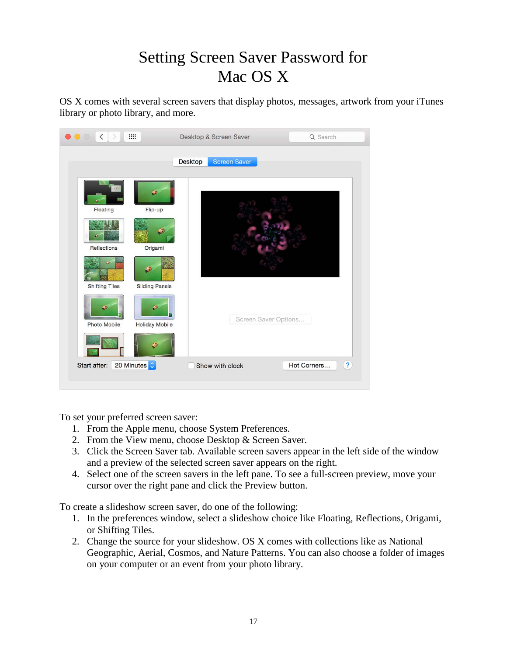### Setting Screen Saver Password for Mac OS X

OS X comes with several screen savers that display photos, messages, artwork from your iTunes library or photo library, and more.

|                                                  |                                                       | <b>Screen Saver</b><br><b>Desktop</b> |                      |
|--------------------------------------------------|-------------------------------------------------------|---------------------------------------|----------------------|
| Floating<br>Reflections<br><b>Shifting Tiles</b> | ۰<br>Flip-up<br>Origami<br>۰<br><b>Sliding Panels</b> |                                       |                      |
| ۰<br>Photo Mobile                                | Ð<br><b>Holiday Mobile</b><br>۵                       |                                       | Screen Saver Options |

To set your preferred screen saver:

- 1. From the Apple menu, choose System Preferences.
- 2. From the View menu, choose Desktop & Screen Saver.
- 3. Click the Screen Saver tab. Available screen savers appear in the left side of the window and a preview of the selected screen saver appears on the right.
- 4. Select one of the screen savers in the left pane. To see a full-screen preview, move your cursor over the right pane and click the Preview button.

To create a slideshow screen saver, do one of the following:

- 1. In the preferences window, select a slideshow choice like Floating, Reflections, Origami, or Shifting Tiles.
- 2. Change the source for your slideshow. OS X comes with collections like as National Geographic, Aerial, Cosmos, and Nature Patterns. You can also choose a folder of images on your computer or an event from your photo library.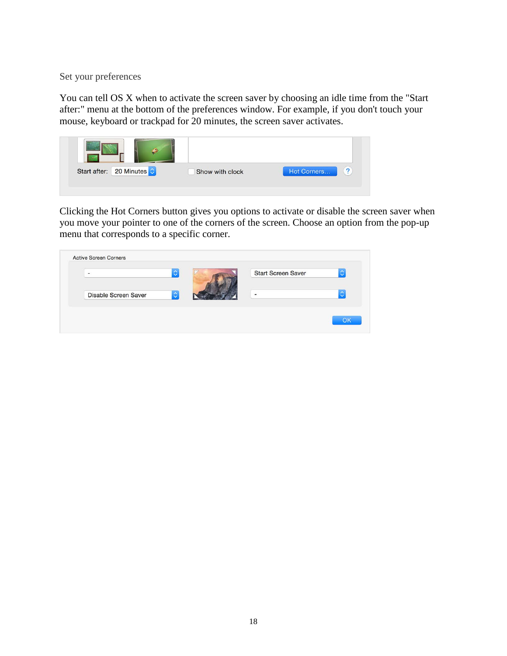Set your preferences

You can tell OS X when to activate the screen saver by choosing an idle time from the "Start after:" menu at the bottom of the preferences window. For example, if you don't touch your mouse, keyboard or trackpad for 20 minutes, the screen saver activates.



Clicking the Hot Corners button gives you options to activate or disable the screen saver when you move your pointer to one of the corners of the screen. Choose an option from the pop-up menu that corresponds to a specific corner.

| $\equiv$                    | ़                  | <b>Start Screen Saver</b> | $\hat{\mathcal{C}}$ |
|-----------------------------|--------------------|---------------------------|---------------------|
| <b>Disable Screen Saver</b> | $\hat{\mathbf{c}}$ | $\overline{a}$            | ×<br>w              |
|                             |                    |                           |                     |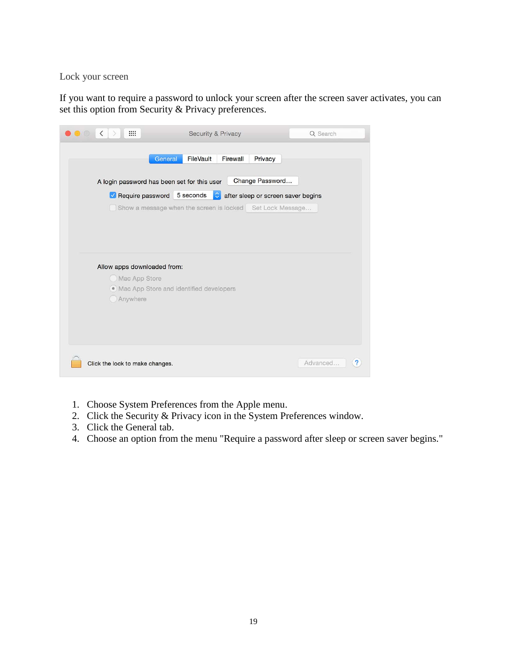Lock your screen

If you want to require a password to unlock your screen after the screen saver activates, you can set this option from Security & Privacy preferences.

| m<br>$\langle$<br>$\bigcirc$<br>$\sim$ |                                                           | <b>Security &amp; Privacy</b> |                                    | Q Search |
|----------------------------------------|-----------------------------------------------------------|-------------------------------|------------------------------------|----------|
|                                        | General                                                   | FileVault<br>Firewall         | Privacy                            |          |
|                                        |                                                           |                               |                                    |          |
|                                        | A login password has been set for this user               |                               | Change Password                    |          |
|                                        | Require password 5 seconds                                | ≎                             | after sleep or screen saver begins |          |
|                                        | Show a message when the screen is locked Set Lock Message |                               |                                    |          |
|                                        |                                                           |                               |                                    |          |
|                                        |                                                           |                               |                                    |          |
|                                        |                                                           |                               |                                    |          |
|                                        |                                                           |                               |                                    |          |
|                                        | Allow apps downloaded from:                               |                               |                                    |          |
|                                        | Mac App Store                                             |                               |                                    |          |
|                                        | · Mac App Store and identified developers                 |                               |                                    |          |
| Anywhere                               |                                                           |                               |                                    |          |
|                                        |                                                           |                               |                                    |          |
|                                        |                                                           |                               |                                    |          |
|                                        |                                                           |                               |                                    |          |
|                                        |                                                           |                               |                                    |          |
|                                        |                                                           |                               |                                    |          |
| Click the lock to make changes.        |                                                           |                               |                                    | Advanced |

- 1. Choose System Preferences from the Apple menu.
- 2. Click the Security & Privacy icon in the System Preferences window.
- 3. Click the General tab.
- 4. Choose an option from the menu "Require a password after sleep or screen saver begins."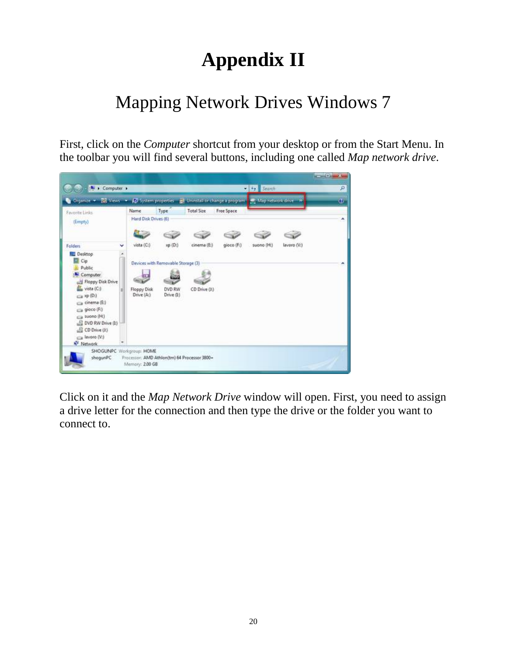# **Appendix II**

### Mapping Network Drives Windows 7

First, click on the *Computer* shortcut from your desktop or from the Start Menu. In the toolbar you will find several buttons, including one called *Map network drive*.



Click on it and the *Map Network Drive* window will open. First, you need to assign a drive letter for the connection and then type the drive or the folder you want to connect to.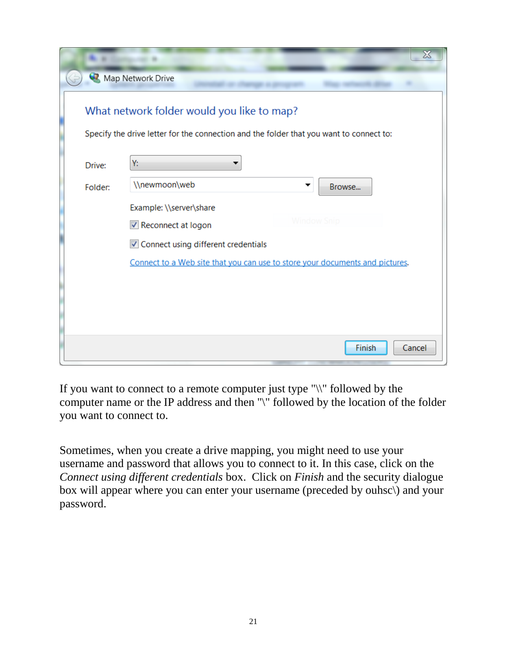|         | ⊠                                                                                                                                     |
|---------|---------------------------------------------------------------------------------------------------------------------------------------|
|         | Map Network Drive                                                                                                                     |
|         | What network folder would you like to map?<br>Specify the drive letter for the connection and the folder that you want to connect to: |
| Drive:  | Y:                                                                                                                                    |
| Folder: | \\newmoon\web<br>Browse                                                                                                               |
|         | Example: \\server\share                                                                                                               |
|         | Window Snic<br>√ Reconnect at logon                                                                                                   |
|         | Connect using different credentials                                                                                                   |
|         | Connect to a Web site that you can use to store your documents and pictures.                                                          |
|         |                                                                                                                                       |
|         |                                                                                                                                       |
|         |                                                                                                                                       |
|         | Finish<br>Cancel                                                                                                                      |

If you want to connect to a remote computer just type "\\" followed by the computer name or the IP address and then "\" followed by the location of the folder you want to connect to.

Sometimes, when you create a drive mapping, you might need to use your username and password that allows you to connect to it. In this case, click on the *Connect using different credentials* box. Click on *Finish* and the security dialogue box will appear where you can enter your username (preceded by ouhsc\) and your password.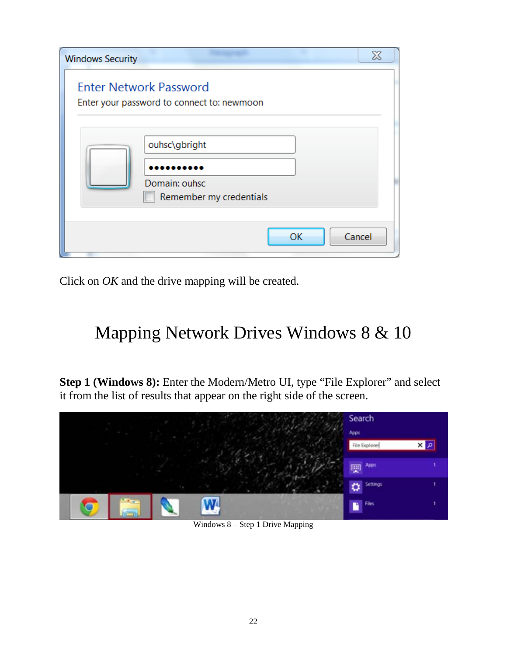| <b>Windows Security</b> | $\chi$                                                                      |
|-------------------------|-----------------------------------------------------------------------------|
|                         | <b>Enter Network Password</b><br>Enter your password to connect to: newmoon |
|                         | ouhsc\gbright<br>Domain: ouhsc<br>Remember my credentials                   |
|                         | OK<br>Cancel                                                                |

Click on *OK* and the drive mapping will be created.

## Mapping Network Drives Windows 8 & 10

**Step 1 (Windows 8):** Enter the Modern/Metro UI, type "File Explorer" and select it from the list of results that appear on the right side of the screen.



Windows 8 – Step 1 Drive Mapping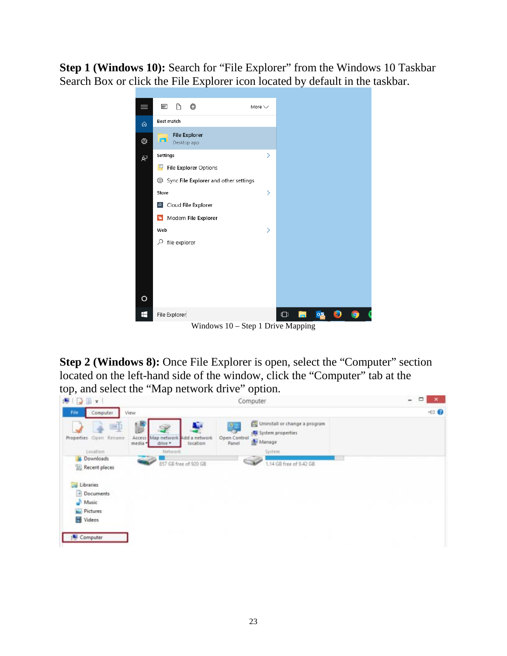**Step 1 (Windows 10):** Search for "File Explorer" from the Windows 10 Taskbar Search Box or click the File Explorer icon located by default in the taskbar.



Windows 10 – Step 1 Drive Mapping

**Step 2 (Windows 8):** Once File Explorer is open, select the "Computer" section located on the left-hand side of the window, click the "Computer" tab at the top, and select the "Map network drive" option.

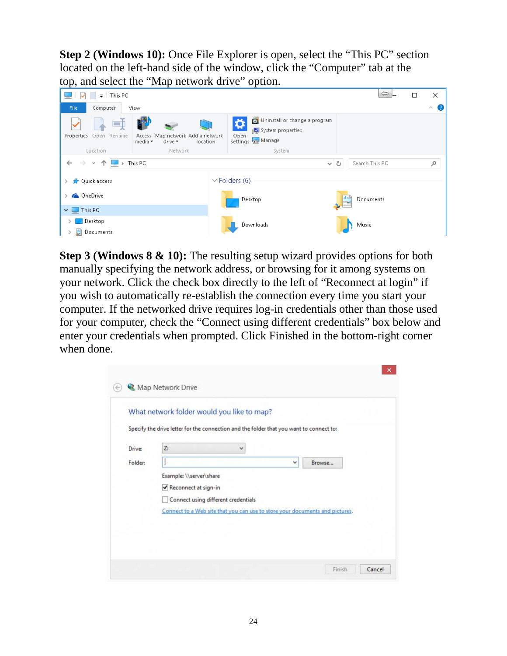**Step 2 (Windows 10):** Once File Explorer is open, select the "This PC" section located on the left-hand side of the window, click the "Computer" tab at the top, and select the "Map network drive" option.



**Step 3 (Windows 8 & 10):** The resulting setup wizard provides options for both manually specifying the network address, or browsing for it among systems on your network. Click the check box directly to the left of "Reconnect at login" if you wish to automatically re-establish the connection every time you start your computer. If the networked drive requires log-in credentials other than those used for your computer, check the "Connect using different credentials" box below and enter your credentials when prompted. Click Finished in the bottom-right corner when done.

|         | What network folder would you like to map?                                              |   |   |        |  |
|---------|-----------------------------------------------------------------------------------------|---|---|--------|--|
|         | Specify the drive letter for the connection and the folder that you want to connect to: |   |   |        |  |
| Drive:  | Z:                                                                                      | v |   |        |  |
| Folder: |                                                                                         |   | v | Browse |  |
|         | Example: \\server\share                                                                 |   |   |        |  |
|         | Reconnect at sign-in                                                                    |   |   |        |  |
|         | Connect using different credentials                                                     |   |   |        |  |
|         | Connect to a Web site that you can use to store your documents and pictures.            |   |   |        |  |
|         |                                                                                         |   |   |        |  |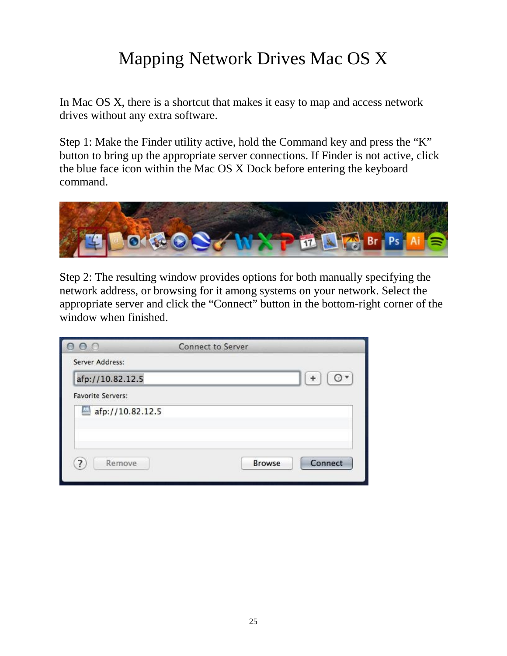## Mapping Network Drives Mac OS X

In Mac OS X, there is a shortcut that makes it easy to map and access network drives without any extra software.

Step 1: Make the Finder utility active, hold the Command key and press the "K" button to bring up the appropriate server connections. If Finder is not active, click the blue face icon within the Mac OS X Dock before entering the keyboard command.



Step 2: The resulting window provides options for both manually specifying the network address, or browsing for it among systems on your network. Select the appropriate server and click the "Connect" button in the bottom-right corner of the window when finished.

| $\circ$                  | <b>Connect to Server</b> |               |         |
|--------------------------|--------------------------|---------------|---------|
| Server Address:          |                          |               |         |
| afp://10.82.12.5         |                          |               | $\Box$  |
| <b>Favorite Servers:</b> |                          |               |         |
| afp://10.82.12.5         |                          |               |         |
|                          |                          |               |         |
|                          |                          |               |         |
| Remove<br>7              |                          | <b>Browse</b> | Connect |
|                          |                          |               |         |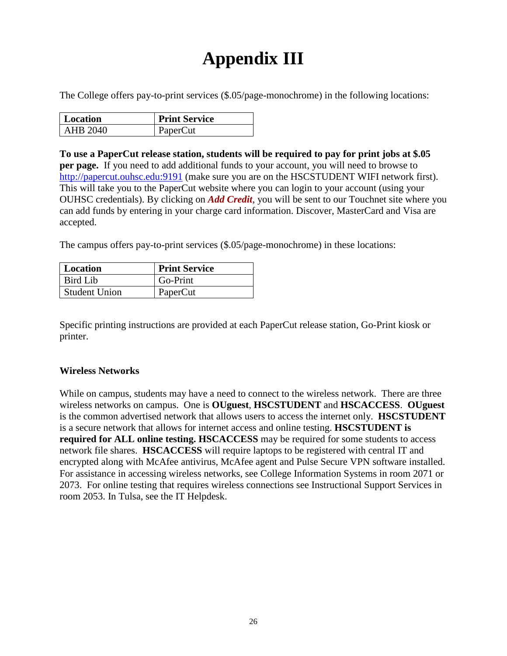## **Appendix III**

The College offers pay-to-print services (\$.05/page-monochrome) in the following locations:

| <b>Location</b> | <b>Print Service</b> |
|-----------------|----------------------|
| AHB 2040        | PaperCut             |

**To use a PaperCut release station, students will be required to pay for print jobs at \$.05 per page.** If you need to add additional funds to your account, you will need to browse to [http://papercut.ouhsc.edu:9191](http://papercut.ouhsc.edu:9191/) (make sure you are on the HSCSTUDENT WIFI network first). This will take you to the PaperCut website where you can login to your account (using your OUHSC credentials). By clicking on *Add Credit*, you will be sent to our Touchnet site where you can add funds by entering in your charge card information. Discover, MasterCard and Visa are accepted.

The campus offers pay-to-print services (\$.05/page-monochrome) in these locations:

| Location             | <b>Print Service</b> |
|----------------------|----------------------|
| Bird Lib             | Go-Print             |
| <b>Student Union</b> | PaperCut             |

Specific printing instructions are provided at each PaperCut release station, Go-Print kiosk or printer.

#### **Wireless Networks**

While on campus, students may have a need to connect to the wireless network. There are three wireless networks on campus. One is **OUguest**, **HSCSTUDENT** and **HSCACCESS**. **OUguest** is the common advertised network that allows users to access the internet only. **HSCSTUDENT** is a secure network that allows for internet access and online testing. **HSCSTUDENT is required for ALL online testing. HSCACCESS** may be required for some students to access network file shares. **HSCACCESS** will require laptops to be registered with central IT and encrypted along with McAfee antivirus, McAfee agent and Pulse Secure VPN software installed. For assistance in accessing wireless networks, see College Information Systems in room 2071 or 2073. For online testing that requires wireless connections see Instructional Support Services in room 2053. In Tulsa, see the IT Helpdesk.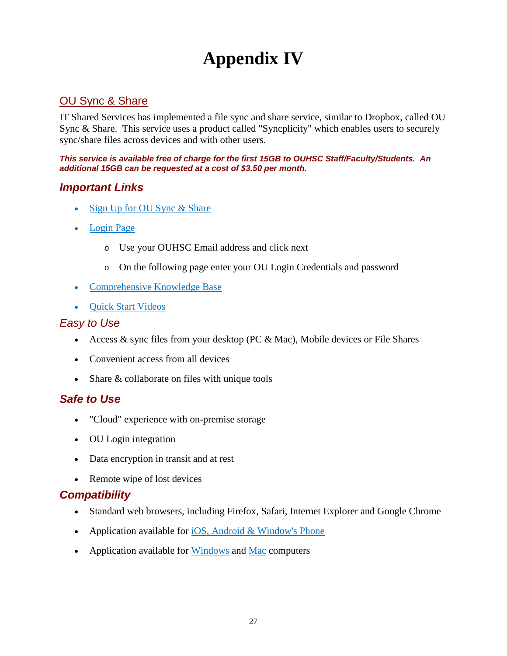### **Appendix IV**

#### OU Sync & Share

IT Shared Services has implemented a file sync and share service, similar to Dropbox, called OU Sync & Share. This service uses a product called "Syncplicity" which enables users to securely sync/share files across devices and with other users.

*This service is available free of charge for the first 15GB to OUHSC Staff/Faculty/Students. An additional 15GB can be requested at a cost of \$3.50 per month.*

#### *Important Links*

- [Sign Up for OU Sync & Share](https://ouitservices.service-now.com/com.glideapp.servicecatalog_cat_item_view.do?sysparm_id=eedc79054f7731007b92d49f0310c719)
- [Login Page](https://sync.ouhsc.edu/)
	- o Use your OUHSC Email address and click next
	- o On the following page enter your OU Login Credentials and password
- [Comprehensive Knowledge Base](https://syncplicity.zendesk.com/hc/en-us)
- [Quick Start Videos](https://syncplicity.zendesk.com/hc/en-us/articles/203061634-Quick-Start-User-Videos)

#### *Easy to Use*

- Access  $&$  sync files from your desktop (PC  $&$  Mac), Mobile devices or File Shares
- Convenient access from all devices
- Share & collaborate on files with unique tools

#### *Safe to Use*

- "Cloud" experience with on-premise storage
- OU Login integration
- Data encryption in transit and at rest
- Remote wipe of lost devices

#### *Compatibility*

- Standard web browsers, including Firefox, Safari, Internet Explorer and Google Chrome
- Application available for  $\overline{OSS}$ , Android & Window's Phone
- Application available for [Windows](https://syncplicity.zendesk.com/hc/en-us/articles/201209890-Installing-the-desktop-client) and [Mac](https://syncplicity.zendesk.com/hc/en-us/articles/201150564-Installing-the-desktop-client) computers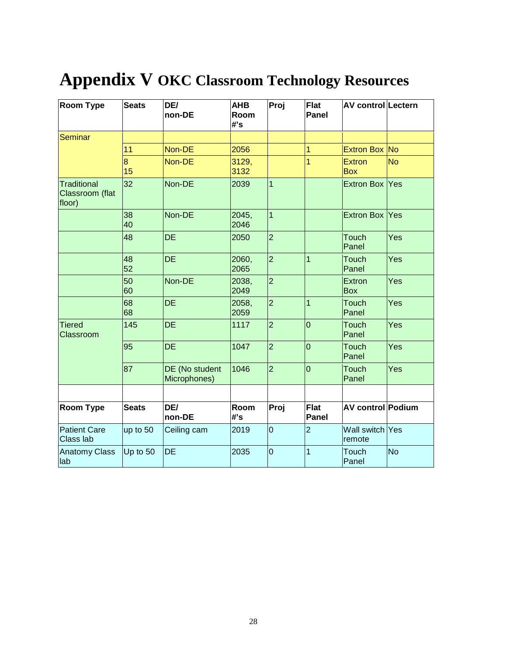# **Appendix V OKC Classroom Technology Resources**

| <b>Room Type</b>                                | <b>Seats</b> | DE/<br>non-DE                  | <b>AHB</b><br>Room<br>#'s | Proj           | Flat<br><b>Panel</b> | AV control Lectern          |           |
|-------------------------------------------------|--------------|--------------------------------|---------------------------|----------------|----------------------|-----------------------------|-----------|
| Seminar                                         |              |                                |                           |                |                      |                             |           |
|                                                 | 11           | Non-DE                         | 2056                      |                | $\mathbf{1}$         | Extron Box No               |           |
|                                                 | 8<br>15      | Non-DE                         | 3129,<br>3132             |                | 1                    | <b>Extron</b><br><b>Box</b> | <b>No</b> |
| <b>Traditional</b><br>Classroom (flat<br>floor) | 32           | Non-DE                         | 2039                      | $\overline{1}$ |                      | Extron Box Yes              |           |
|                                                 | 38<br>40     | Non-DE                         | 2045,<br>2046             | $\overline{1}$ |                      | Extron Box Yes              |           |
|                                                 | 48           | <b>DE</b>                      | 2050                      | $\overline{2}$ |                      | <b>Touch</b><br>Panel       | Yes       |
|                                                 | 48<br>52     | <b>DE</b>                      | 2060,<br>2065             | $\overline{2}$ | $\mathbf{1}$         | <b>Touch</b><br>Panel       | Yes       |
|                                                 | 50<br>60     | Non-DE                         | 2038,<br>2049             | $\overline{2}$ |                      | <b>Extron</b><br><b>Box</b> | Yes       |
|                                                 | 68<br>68     | <b>DE</b>                      | 2058,<br>2059             | $\overline{2}$ | $\mathbf{1}$         | <b>Touch</b><br>Panel       | Yes       |
| <b>Tiered</b><br>Classroom                      | 145          | <b>DE</b>                      | 1117                      | $\overline{2}$ | $\overline{0}$       | Touch<br>Panel              | Yes       |
|                                                 | 95           | <b>DE</b>                      | 1047                      | $\overline{2}$ | $\overline{0}$       | <b>Touch</b><br>Panel       | Yes       |
|                                                 | 87           | DE (No student<br>Microphones) | 1046                      | $\overline{2}$ | $\overline{0}$       | <b>Touch</b><br>Panel       | Yes       |
|                                                 |              |                                |                           |                |                      |                             |           |
| <b>Room Type</b>                                | <b>Seats</b> | DE/<br>non-DE                  | Room<br>#'s               | Proj           | Flat<br><b>Panel</b> | <b>AV control Podium</b>    |           |
| <b>Patient Care</b><br>Class lab                | up to 50     | Ceiling cam                    | 2019                      | $\overline{0}$ | $\overline{2}$       | Wall switch<br>remote       | Yes       |
| <b>Anatomy Class</b><br>lab                     | Up to 50     | DE                             | 2035                      | $\overline{0}$ | 1                    | Touch<br>Panel              | <b>No</b> |